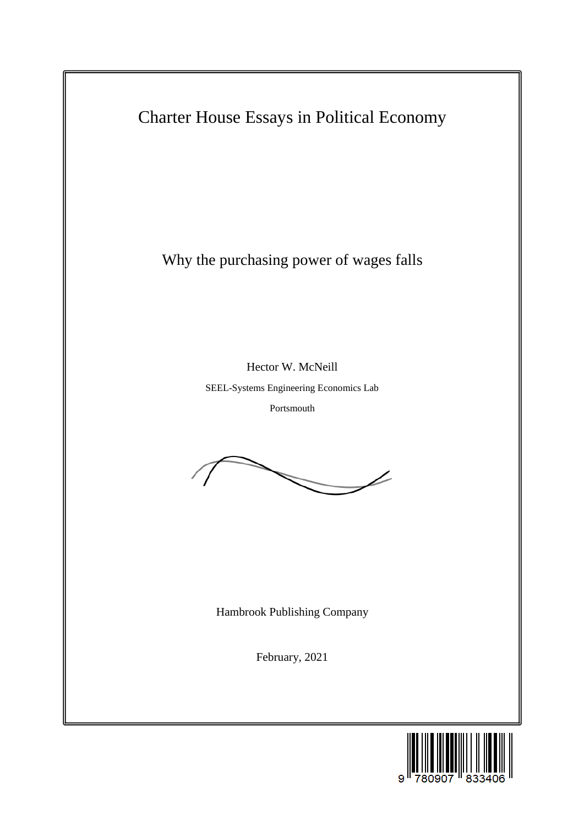

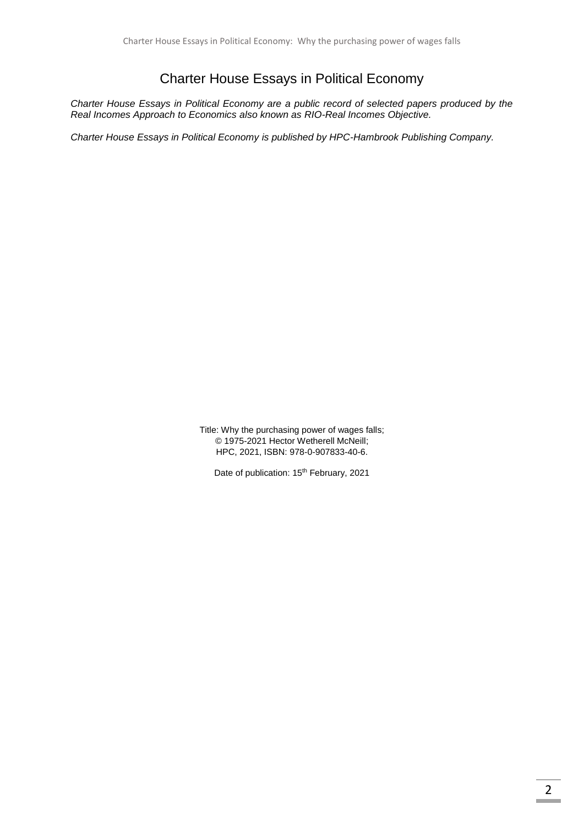## Charter House Essays in Political Economy

*Charter House Essays in Political Economy are a public record of selected papers produced by the Real Incomes Approach to Economics also known as RIO-Real Incomes Objective.*

*Charter House Essays in Political Economy is published by HPC-Hambrook Publishing Company.*

Title: Why the purchasing power of wages falls; © 1975-2021 Hector Wetherell McNeill; HPC, 2021, ISBN: 978-0-907833-40-6.

Date of publication: 15<sup>th</sup> February, 2021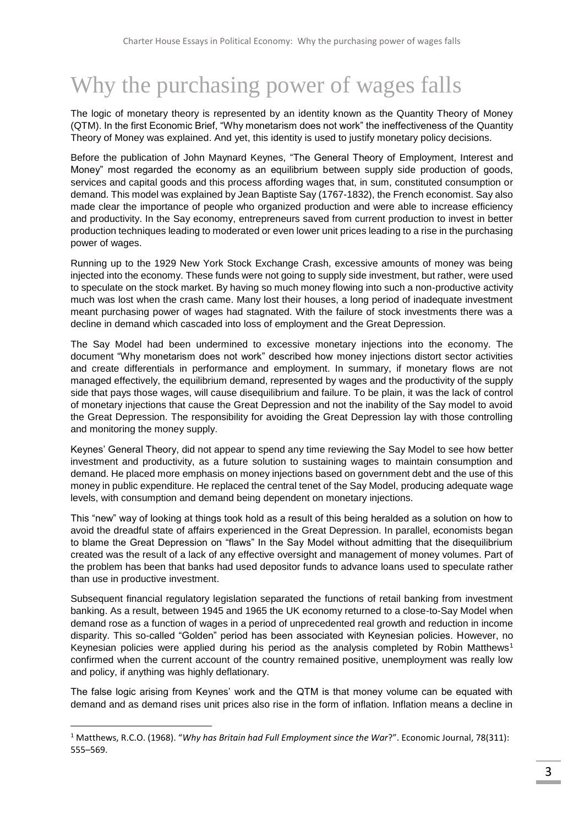## Why the purchasing power of wages falls

The logic of monetary theory is represented by an identity known as the Quantity Theory of Money (QTM). In the first Economic Brief, "Why monetarism does not work" the ineffectiveness of the Quantity Theory of Money was explained. And yet, this identity is used to justify monetary policy decisions.

Before the publication of John Maynard Keynes, "The General Theory of Employment, Interest and Money" most regarded the economy as an equilibrium between supply side production of goods, services and capital goods and this process affording wages that, in sum, constituted consumption or demand. This model was explained by Jean Baptiste Say (1767-1832), the French economist. Say also made clear the importance of people who organized production and were able to increase efficiency and productivity. In the Say economy, entrepreneurs saved from current production to invest in better production techniques leading to moderated or even lower unit prices leading to a rise in the purchasing power of wages.

Running up to the 1929 New York Stock Exchange Crash, excessive amounts of money was being injected into the economy. These funds were not going to supply side investment, but rather, were used to speculate on the stock market. By having so much money flowing into such a non-productive activity much was lost when the crash came. Many lost their houses, a long period of inadequate investment meant purchasing power of wages had stagnated. With the failure of stock investments there was a decline in demand which cascaded into loss of employment and the Great Depression.

The Say Model had been undermined to excessive monetary injections into the economy. The document "Why monetarism does not work" described how money injections distort sector activities and create differentials in performance and employment. In summary, if monetary flows are not managed effectively, the equilibrium demand, represented by wages and the productivity of the supply side that pays those wages, will cause disequilibrium and failure. To be plain, it was the lack of control of monetary injections that cause the Great Depression and not the inability of the Say model to avoid the Great Depression. The responsibility for avoiding the Great Depression lay with those controlling and monitoring the money supply.

Keynes' General Theory, did not appear to spend any time reviewing the Say Model to see how better investment and productivity, as a future solution to sustaining wages to maintain consumption and demand. He placed more emphasis on money injections based on government debt and the use of this money in public expenditure. He replaced the central tenet of the Say Model, producing adequate wage levels, with consumption and demand being dependent on monetary injections.

This "new" way of looking at things took hold as a result of this being heralded as a solution on how to avoid the dreadful state of affairs experienced in the Great Depression. In parallel, economists began to blame the Great Depression on "flaws" In the Say Model without admitting that the disequilibrium created was the result of a lack of any effective oversight and management of money volumes. Part of the problem has been that banks had used depositor funds to advance loans used to speculate rather than use in productive investment.

Subsequent financial regulatory legislation separated the functions of retail banking from investment banking. As a result, between 1945 and 1965 the UK economy returned to a close-to-Say Model when demand rose as a function of wages in a period of unprecedented real growth and reduction in income disparity. This so-called "Golden" period has been associated with Keynesian policies. However, no Keynesian policies were applied during his period as the analysis completed by Robin Matthews<sup>1</sup> confirmed when the current account of the country remained positive, unemployment was really low and policy, if anything was highly deflationary.

The false logic arising from Keynes' work and the QTM is that money volume can be equated with demand and as demand rises unit prices also rise in the form of inflation. Inflation means a decline in

 $\overline{a}$ 

<sup>1</sup> Matthews, R.C.O. (1968). "*Why has Britain had Full Employment since the War*?". Economic Journal, 78(311): 555–569.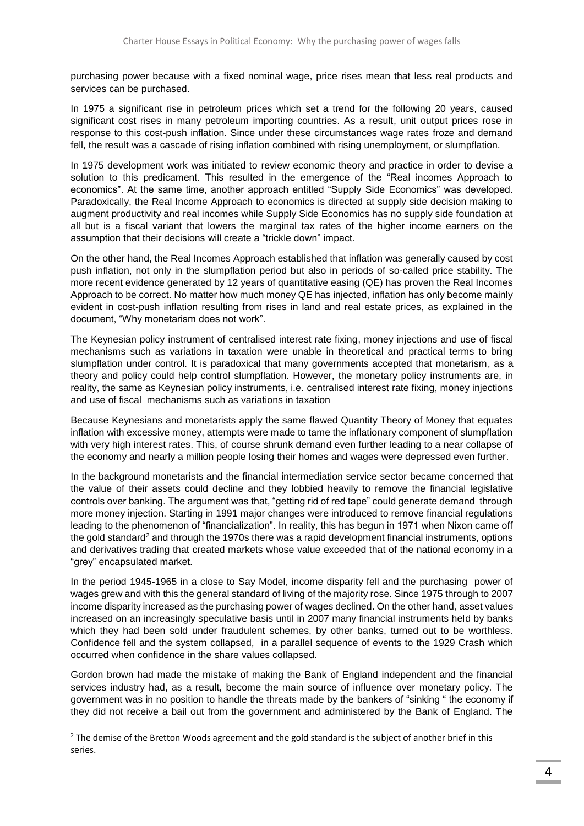purchasing power because with a fixed nominal wage, price rises mean that less real products and services can be purchased.

In 1975 a significant rise in petroleum prices which set a trend for the following 20 years, caused significant cost rises in many petroleum importing countries. As a result, unit output prices rose in response to this cost-push inflation. Since under these circumstances wage rates froze and demand fell, the result was a cascade of rising inflation combined with rising unemployment, or slumpflation.

In 1975 development work was initiated to review economic theory and practice in order to devise a solution to this predicament. This resulted in the emergence of the "Real incomes Approach to economics". At the same time, another approach entitled "Supply Side Economics" was developed. Paradoxically, the Real Income Approach to economics is directed at supply side decision making to augment productivity and real incomes while Supply Side Economics has no supply side foundation at all but is a fiscal variant that lowers the marginal tax rates of the higher income earners on the assumption that their decisions will create a "trickle down" impact.

On the other hand, the Real Incomes Approach established that inflation was generally caused by cost push inflation, not only in the slumpflation period but also in periods of so-called price stability. The more recent evidence generated by 12 years of quantitative easing (QE) has proven the Real Incomes Approach to be correct. No matter how much money QE has injected, inflation has only become mainly evident in cost-push inflation resulting from rises in land and real estate prices, as explained in the document, "Why monetarism does not work".

The Keynesian policy instrument of centralised interest rate fixing, money injections and use of fiscal mechanisms such as variations in taxation were unable in theoretical and practical terms to bring slumpflation under control. It is paradoxical that many governments accepted that monetarism, as a theory and policy could help control slumpflation. However, the monetary policy instruments are, in reality, the same as Keynesian policy instruments, i.e. centralised interest rate fixing, money injections and use of fiscal mechanisms such as variations in taxation

Because Keynesians and monetarists apply the same flawed Quantity Theory of Money that equates inflation with excessive money, attempts were made to tame the inflationary component of slumpflation with very high interest rates. This, of course shrunk demand even further leading to a near collapse of the economy and nearly a million people losing their homes and wages were depressed even further.

In the background monetarists and the financial intermediation service sector became concerned that the value of their assets could decline and they lobbied heavily to remove the financial legislative controls over banking. The argument was that, "getting rid of red tape" could generate demand through more money injection. Starting in 1991 major changes were introduced to remove financial regulations leading to the phenomenon of "financialization". In reality, this has begun in 1971 when Nixon came off the gold standard<sup>2</sup> and through the 1970s there was a rapid development financial instruments, options and derivatives trading that created markets whose value exceeded that of the national economy in a "grey" encapsulated market.

In the period 1945-1965 in a close to Say Model, income disparity fell and the purchasing power of wages grew and with this the general standard of living of the majority rose. Since 1975 through to 2007 income disparity increased as the purchasing power of wages declined. On the other hand, asset values increased on an increasingly speculative basis until in 2007 many financial instruments held by banks which they had been sold under fraudulent schemes, by other banks, turned out to be worthless. Confidence fell and the system collapsed, in a parallel sequence of events to the 1929 Crash which occurred when confidence in the share values collapsed.

Gordon brown had made the mistake of making the Bank of England independent and the financial services industry had, as a result, become the main source of influence over monetary policy. The government was in no position to handle the threats made by the bankers of "sinking " the economy if they did not receive a bail out from the government and administered by the Bank of England. The

 $\overline{a}$ 

 $<sup>2</sup>$  The demise of the Bretton Woods agreement and the gold standard is the subject of another brief in this</sup> series.